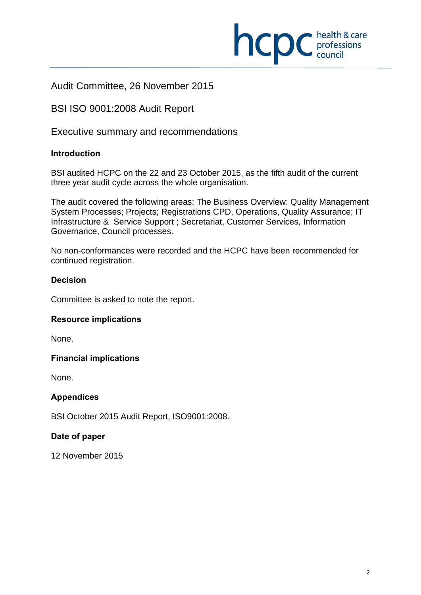

## Audit Committee, 26 November 2015

## BSI ISO 9001:2008 Audit Report

Executive summary and recommendations

## **Introduction**

 $\overline{a}$ 

BSI audited HCPC on the 22 and 23 October 2015, as the fifth audit of the current three year audit cycle across the whole organisation.

The audit covered the following areas; The Business Overview: Quality Management System Processes; Projects; Registrations CPD, Operations, Quality Assurance; IT Infrastructure & Service Support ; Secretariat, Customer Services, Information Governance, Council processes.

No non-conformances were recorded and the HCPC have been recommended for continued registration.

## **Decision**

Committee is asked to note the report.

### **Resource implications**

None.

### **Financial implications**

None.

### **Appendices**

BSI October 2015 Audit Report, ISO9001:2008.

### **Date of paper**

12 November 2015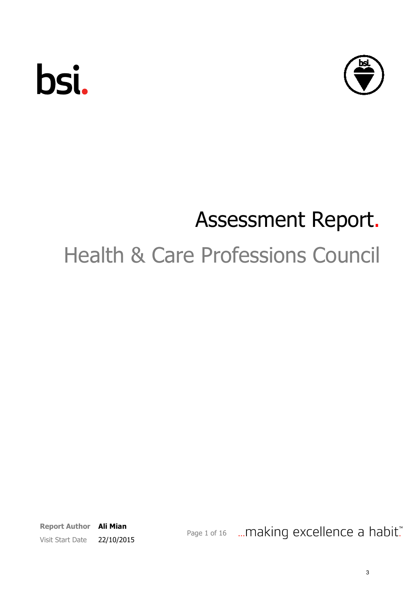

# Assessment Report.

# Health & Care Professions Council

Report Author Ali Mian Visit Start Date 22/10/2015

Page 1 of 16 ... making excellence a habit."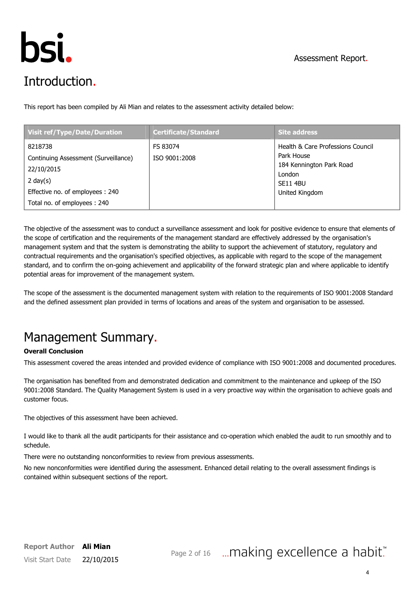

# Introduction.

This report has been compiled by Ali Mian and relates to the assessment activity detailed below:

| <b>Visit ref/Type/Date/Duration</b>                                                                                                            | <b>Certificate/Standard</b> | <b>Site address</b>                                                                                                        |
|------------------------------------------------------------------------------------------------------------------------------------------------|-----------------------------|----------------------------------------------------------------------------------------------------------------------------|
| 8218738<br>Continuing Assessment (Surveillance)<br>22/10/2015<br>2 day $(s)$<br>Effective no. of employees: 240<br>Total no. of employees: 240 | FS 83074<br>ISO 9001:2008   | Health & Care Professions Council<br>Park House<br>184 Kennington Park Road<br>London<br><b>SE11 4BU</b><br>United Kingdom |

The objective of the assessment was to conduct a surveillance assessment and look for positive evidence to ensure that elements of the scope of certification and the requirements of the management standard are effectively addressed by the organisation's management system and that the system is demonstrating the ability to support the achievement of statutory, regulatory and contractual requirements and the organisation's specified objectives, as applicable with regard to the scope of the management standard, and to confirm the on-going achievement and applicability of the forward strategic plan and where applicable to identify potential areas for improvement of the management system.

The scope of the assessment is the documented management system with relation to the requirements of ISO 9001:2008 Standard and the defined assessment plan provided in terms of locations and areas of the system and organisation to be assessed.

# Management Summary.

### Overall Conclusion

This assessment covered the areas intended and provided evidence of compliance with ISO 9001:2008 and documented procedures.

The organisation has benefited from and demonstrated dedication and commitment to the maintenance and upkeep of the ISO 9001:2008 Standard. The Quality Management System is used in a very proactive way within the organisation to achieve goals and customer focus.

The objectives of this assessment have been achieved.

I would like to thank all the audit participants for their assistance and co-operation which enabled the audit to run smoothly and to schedule.

There were no outstanding nonconformities to review from previous assessments.

No new nonconformities were identified during the assessment. Enhanced detail relating to the overall assessment findings is contained within subsequent sections of the report.

# Page 2 of 16 ... making excellence a habit."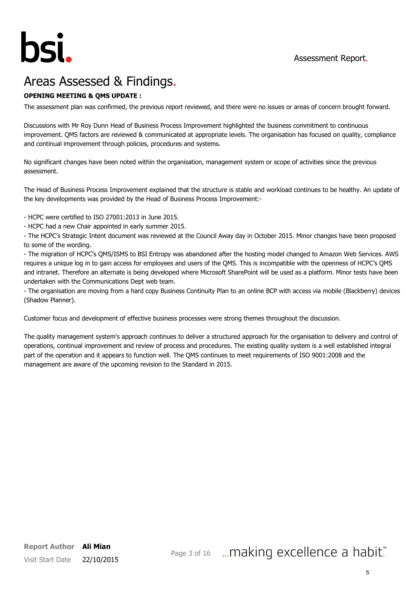

# Areas Assessed & Findings.

### OPENING MEETING & QMS UPDATE :

The assessment plan was confirmed, the previous report reviewed, and there were no issues or areas of concern brought forward.

Discussions with Mr Roy Dunn Head of Business Process Improvement highlighted the business commitment to continuous improvement. QMS factors are reviewed & communicated at appropriate levels. The organisation has focused on quality, compliance and continual improvement through policies, procedures and systems.

No significant changes have been noted within the organisation, management system or scope of activities since the previous assessment.

The Head of Business Process Improvement explained that the structure is stable and workload continues to be healthy. An update of the key developments was provided by the Head of Business Process Improvement:-

- HCPC were certified to ISO 27001:2013 in June 2015.

- HCPC had a new Chair appointed in early summer 2015.

- The HCPC's Strategic Intent document was reviewed at the Council Away day in October 2015. Minor changes have been proposed to some of the wording.

- The migration of HCPC's QMS/ISMS to BSI Entropy was abandoned after the hosting model changed to Amazon Web Services. AWS requires a unique log in to gain access for employees and users of the QMS. This is incompatible with the openness of HCPC's QMS and intranet. Therefore an alternate is being developed where Microsoft SharePoint will be used as a platform. Minor tests have been undertaken with the Communications Dept web team.

- The organisation are moving from a hard copy Business Continuity Plan to an online BCP with access via mobile (Blackberry) devices (Shadow Planner).

Customer focus and development of effective business processes were strong themes throughout the discussion.

The quality management system's approach continues to deliver a structured approach for the organisation to delivery and control of operations, continual improvement and review of process and procedures. The existing quality system is a well established integral part of the operation and it appears to function well. The QMS continues to meet requirements of ISO 9001:2008 and the management are aware of the upcoming revision to the Standard in 2015.

## Page 3 of 16 ... making excellence a habit."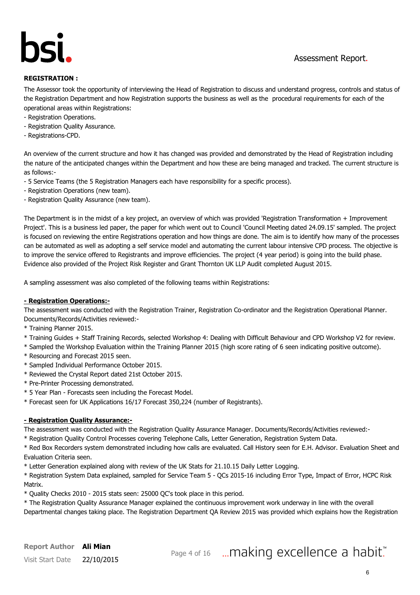

### REGISTRATION :

The Assessor took the opportunity of interviewing the Head of Registration to discuss and understand progress, controls and status of the Registration Department and how Registration supports the business as well as the procedural requirements for each of the operational areas within Registrations:

- Registration Operations.
- Registration Quality Assurance.
- Registrations-CPD.

An overview of the current structure and how it has changed was provided and demonstrated by the Head of Registration including the nature of the anticipated changes within the Department and how these are being managed and tracked. The current structure is as follows:-

- 5 Service Teams (the 5 Registration Managers each have responsibility for a specific process).
- Registration Operations (new team).
- Registration Quality Assurance (new team).

The Department is in the midst of a key project, an overview of which was provided 'Registration Transformation + Improvement Project'. This is a business led paper, the paper for which went out to Council 'Council Meeting dated 24.09.15' sampled. The project is focused on reviewing the entire Registrations operation and how things are done. The aim is to identify how many of the processes can be automated as well as adopting a self service model and automating the current labour intensive CPD process. The objective is to improve the service offered to Registrants and improve efficiencies. The project (4 year period) is going into the build phase. Evidence also provided of the Project Risk Register and Grant Thornton UK LLP Audit completed August 2015.

A sampling assessment was also completed of the following teams within Registrations:

### - Registration Operations:-

The assessment was conducted with the Registration Trainer, Registration Co-ordinator and the Registration Operational Planner. Documents/Records/Activities reviewed:-

- \* Training Planner 2015.
- \* Training Guides + Staff Training Records, selected Workshop 4: Dealing with Difficult Behaviour and CPD Workshop V2 for review.
- \* Sampled the Workshop Evaluation within the Training Planner 2015 (high score rating of 6 seen indicating positive outcome).
- \* Resourcing and Forecast 2015 seen.
- \* Sampled Individual Performance October 2015.
- \* Reviewed the Crystal Report dated 21st October 2015.
- \* Pre-Printer Processing demonstrated.
- \* 5 Year Plan Forecasts seen including the Forecast Model.
- \* Forecast seen for UK Applications 16/17 Forecast 350,224 (number of Registrants).

### - Registration Quality Assurance:-

The assessment was conducted with the Registration Quality Assurance Manager. Documents/Records/Activities reviewed:-

\* Registration Quality Control Processes covering Telephone Calls, Letter Generation, Registration System Data.

\* Red Box Recorders system demonstrated including how calls are evaluated. Call History seen for E.H. Advisor. Evaluation Sheet and Evaluation Criteria seen.

\* Letter Generation explained along with review of the UK Stats for 21.10.15 Daily Letter Logging.

\* Registration System Data explained, sampled for Service Team 5 - QCs 2015-16 including Error Type, Impact of Error, HCPC Risk Matrix.

\* Quality Checks 2010 - 2015 stats seen: 25000 QC's took place in this period.

\* The Registration Quality Assurance Manager explained the continuous improvement work underway in line with the overall Departmental changes taking place. The Registration Department QA Review 2015 was provided which explains how the Registration

Page 4 of 16 ... making excellence a habit."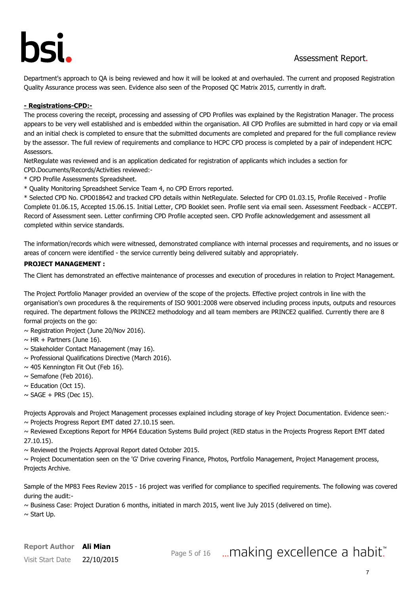Department's approach to QA is being reviewed and how it will be looked at and overhauled. The current and proposed Registration Quality Assurance process was seen. Evidence also seen of the Proposed QC Matrix 2015, currently in draft.

### - Registrations-CPD:-

The process covering the receipt, processing and assessing of CPD Profiles was explained by the Registration Manager. The process appears to be very well established and is embedded within the organisation. All CPD Profiles are submitted in hard copy or via email and an initial check is completed to ensure that the submitted documents are completed and prepared for the full compliance review by the assessor. The full review of requirements and compliance to HCPC CPD process is completed by a pair of independent HCPC Assessors.

NetRegulate was reviewed and is an application dedicated for registration of applicants which includes a section for CPD.Documents/Records/Activities reviewed:-

- \* CPD Profile Assessments Spreadsheet.
- \* Quality Monitoring Spreadsheet Service Team 4, no CPD Errors reported.

\* Selected CPD No. CPD018642 and tracked CPD details within NetRegulate. Selected for CPD 01.03.15, Profile Received - Profile Complete 01.06.15, Accepted 15.06.15. Initial Letter, CPD Booklet seen. Profile sent via email seen. Assessment Feedback - ACCEPT. Record of Assessment seen. Letter confirming CPD Profile accepted seen. CPD Profile acknowledgement and assessment all completed within service standards.

The information/records which were witnessed, demonstrated compliance with internal processes and requirements, and no issues or areas of concern were identified - the service currently being delivered suitably and appropriately.

#### PROJECT MANAGEMENT :

The Client has demonstrated an effective maintenance of processes and execution of procedures in relation to Project Management.

The Project Portfolio Manager provided an overview of the scope of the projects. Effective project controls in line with the organisation's own procedures & the requirements of ISO 9001:2008 were observed including process inputs, outputs and resources required. The department follows the PRINCE2 methodology and all team members are PRINCE2 qualified. Currently there are 8 formal projects on the go:

- $\sim$  Registration Project (June 20/Nov 2016).
- $\sim$  HR + Partners (June 16).
- $\sim$  Stakeholder Contact Management (may 16).
- ~ Professional Qualifications Directive (March 2016).
- $\sim$  405 Kennington Fit Out (Feb 16).
- $\sim$  Semafone (Feb 2016).
- $\sim$  Education (Oct 15).
- $\sim$  SAGE + PRS (Dec 15).

Projects Approvals and Project Management processes explained including storage of key Project Documentation. Evidence seen:-  $\sim$  Projects Progress Report EMT dated 27.10.15 seen.

~ Reviewed Exceptions Report for MP64 Education Systems Build project (RED status in the Projects Progress Report EMT dated 27.10.15).

 $\sim$  Reviewed the Projects Approval Report dated October 2015.

~ Project Documentation seen on the 'G' Drive covering Finance, Photos, Portfolio Management, Project Management process, Projects Archive.

Sample of the MP83 Fees Review 2015 - 16 project was verified for compliance to specified requirements. The following was covered during the audit:-

 $\sim$  Business Case: Project Duration 6 months, initiated in march 2015, went live July 2015 (delivered on time).

 $\sim$  Start Up.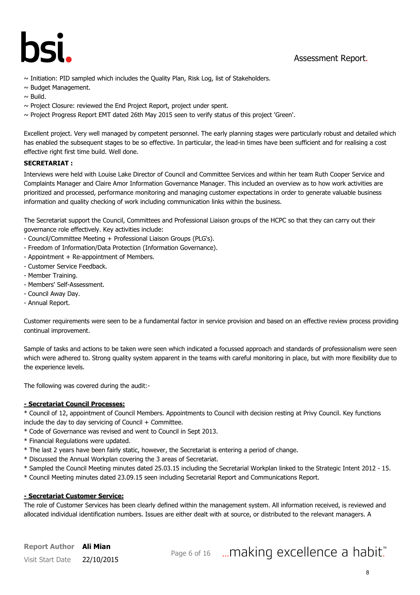

- $\sim$  Initiation: PID sampled which includes the Quality Plan, Risk Log, list of Stakeholders.
- $\sim$  Budget Management.
- $\sim$  Build.
- $\sim$  Project Closure: reviewed the End Project Report, project under spent.
- $\sim$  Project Progress Report EMT dated 26th May 2015 seen to verify status of this project 'Green'.

Excellent project. Very well managed by competent personnel. The early planning stages were particularly robust and detailed which has enabled the subsequent stages to be so effective. In particular, the lead-in times have been sufficient and for realising a cost effective right first time build. Well done.

### SECRETARIAT :

Interviews were held with Louise Lake Director of Council and Committee Services and within her team Ruth Cooper Service and Complaints Manager and Claire Amor Information Governance Manager. This included an overview as to how work activities are prioritized and processed, performance monitoring and managing customer expectations in order to generate valuable business information and quality checking of work including communication links within the business.

The Secretariat support the Council, Committees and Professional Liaison groups of the HCPC so that they can carry out their governance role effectively. Key activities include:

- Council/Committee Meeting + Professional Liaison Groups (PLG's).
- Freedom of Information/Data Protection (Information Governance).
- Appointment + Re-appointment of Members.
- Customer Service Feedback.
- Member Training.
- Members' Self-Assessment.
- Council Away Day.
- Annual Report.

Customer requirements were seen to be a fundamental factor in service provision and based on an effective review process providing continual improvement.

Sample of tasks and actions to be taken were seen which indicated a focussed approach and standards of professionalism were seen which were adhered to. Strong quality system apparent in the teams with careful monitoring in place, but with more flexibility due to the experience levels.

The following was covered during the audit:-

### - Secretariat Council Processes:

\* Council of 12, appointment of Council Members. Appointments to Council with decision resting at Privy Council. Key functions include the day to day servicing of Council  $+$  Committee.

- \* Code of Governance was revised and went to Council in Sept 2013.
- \* Financial Regulations were updated.
- \* The last 2 years have been fairly static, however, the Secretariat is entering a period of change.
- \* Discussed the Annual Workplan covering the 3 areas of Secretariat.
- \* Sampled the Council Meeting minutes dated 25.03.15 including the Secretarial Workplan linked to the Strategic Intent 2012 15.
- \* Council Meeting minutes dated 23.09.15 seen including Secretarial Report and Communications Report.

### - Secretariat Customer Service:

The role of Customer Services has been clearly defined within the management system. All information received, is reviewed and allocated individual identification numbers. Issues are either dealt with at source, or distributed to the relevant managers. A

## Report Author Ali Mian Visit Start Date 22/10/2015

# Page 6 of 16 ... making excellence a habit."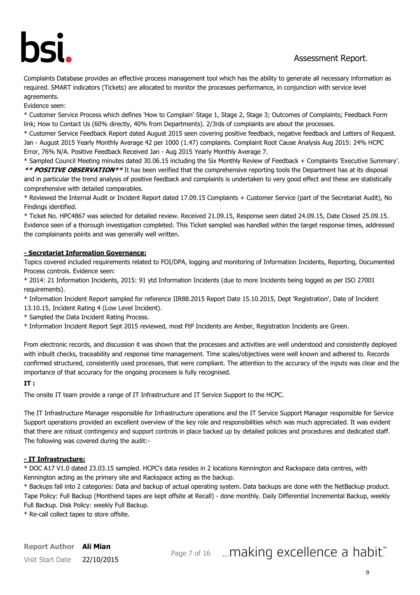Complaints Database provides an effective process management tool which has the ability to generate all necessary information as required. SMART indicators (Tickets) are allocated to monitor the processes performance, in conjunction with service level agreements.

Evidence seen:

\* Customer Service Process which defines 'How to Complain' Stage 1, Stage 2, Stage 3; Outcomes of Complaints; Feedback Form link; How to Contact Us (60% directly, 40% from Departments). 2/3rds of complaints are about the processes.

\* Customer Service Feedback Report dated August 2015 seen covering positive feedback, negative feedback and Letters of Request. Jan - August 2015 Yearly Monthly Average 42 per 1000 (1.47) complaints. Complaint Root Cause Analysis Aug 2015: 24% HCPC Error, 76% N/A. Positive Feedback Received Jan - Aug 2015 Yearly Monthly Average 7.

\* Sampled Council Meeting minutes dated 30.06.15 including the Six Monthly Review of Feedback + Complaints 'Executive Summary'. \*\* POSITIVE OBSERVATION\*\* It has been verified that the comprehensive reporting tools the Department has at its disposal and in particular the trend analysis of positive feedback and complaints is undertaken to very good effect and these are statistically comprehensive with detailed comparables.

\* Reviewed the Internal Audit or Incident Report dated 17.09.15 Complaints + Customer Service (part of the Secretariat Audit), No Findings identified.

\* Ticket No. HPC4867 was selected for detailed review. Received 21.09.15, Response seen dated 24.09.15, Date Closed 25.09.15. Evidence seen of a thorough investigation completed. This Ticket sampled was handled within the target response times, addressed the complainants points and was generally well written.

### - Secretariat Information Governance:

Topics covered included requirements related to FOI/DPA, logging and monitoring of Information Incidents, Reporting, Documented Process controls. Evidence seen:

\* 2014: 21 Information Incidents, 2015: 91 ytd Information Incidents (due to more Incidents being logged as per ISO 27001 requirements).

\* Information Incident Report sampled for reference IIR88.2015 Report Date 15.10.2015, Dept 'Registration', Date of Incident

13.10.15, Incident Rating 4 (Low Level Incident).

\* Sampled the Data Incident Rating Process.

\* Information Incident Report Sept 2015 reviewed, most FtP Incidents are Amber, Registration Incidents are Green.

From electronic records, and discussion it was shown that the processes and activities are well understood and consistently deployed with inbuilt checks, traceability and response time management. Time scales/objectives were well known and adhered to. Records confirmed structured, consistently used processes, that were compliant. The attention to the accuracy of the inputs was clear and the importance of that accuracy for the ongoing processes is fully recognised.

### IT :

The onsite IT team provide a range of IT Infrastructure and IT Service Support to the HCPC.

The IT Infrastructure Manager responsible for Infrastructure operations and the IT Service Support Manager responsible for Service Support operations provided an excellent overview of the key role and responsibilities which was much appreciated. It was evident that there are robust contingency and support controls in place backed up by detailed policies and procedures and dedicated staff. The following was covered during the audit:-

### - IT Infrastructure:

\* DOC A17 V1.0 dated 23.03.15 sampled. HCPC's data resides in 2 locations Kennington and Rackspace data centres, with Kennington acting as the primary site and Rackspace acting as the backup.

\* Backups fall into 2 categories: Data and backup of actual operating system. Data backups are done with the NetBackup product. Tape Policy: Full Backup (Monthend tapes are kept offsite at Recall) - done monthly. Daily Differential Incremental Backup, weekly Full Backup. Disk Policy: weekly Full Backup.

\* Re-call collect tapes to store offsite.

# Page 7 of 16 ... making excellence a habit."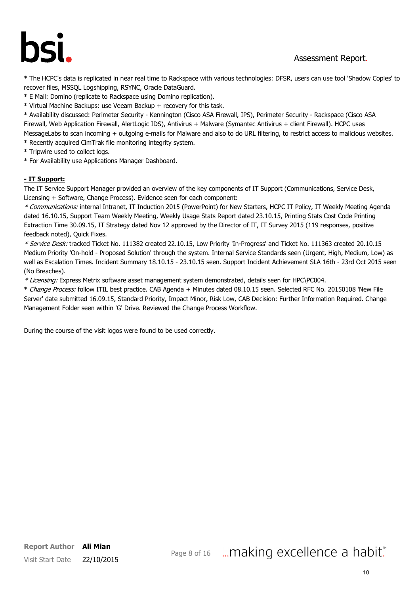# hsi

## Assessment Report.

\* The HCPC's data is replicated in near real time to Rackspace with various technologies: DFSR, users can use tool 'Shadow Copies' to recover files, MSSQL Logshipping, RSYNC, Oracle DataGuard.

- \* E Mail: Domino (replicate to Rackspace using Domino replication).
- \* Virtual Machine Backups: use Veeam Backup + recovery for this task.

\* Availability discussed: Perimeter Security - Kennington (Cisco ASA Firewall, IPS), Perimeter Security - Rackspace (Cisco ASA Firewall, Web Application Firewall, AlertLogic IDS), Antivirus + Malware (Symantec Antivirus + client Firewall). HCPC uses MessageLabs to scan incoming + outgoing e-mails for Malware and also to do URL filtering, to restrict access to malicious websites.

- \* Recently acquired CimTrak file monitoring integrity system.
- \* Tripwire used to collect logs.
- \* For Availability use Applications Manager Dashboard.

### - IT Support:

The IT Service Support Manager provided an overview of the key components of IT Support (Communications, Service Desk, Licensing + Software, Change Process). Evidence seen for each component:

\* Communications: internal Intranet, IT Induction 2015 (PowerPoint) for New Starters, HCPC IT Policy, IT Weekly Meeting Agenda dated 16.10.15, Support Team Weekly Meeting, Weekly Usage Stats Report dated 23.10.15, Printing Stats Cost Code Printing Extraction Time 30.09.15, IT Strategy dated Nov 12 approved by the Director of IT, IT Survey 2015 (119 responses, positive feedback noted), Quick Fixes.

\* Service Desk: tracked Ticket No. 111382 created 22.10.15, Low Priority 'In-Progress' and Ticket No. 111363 created 20.10.15 Medium Priority 'On-hold - Proposed Solution' through the system. Internal Service Standards seen (Urgent, High, Medium, Low) as well as Escalation Times. Incident Summary 18.10.15 - 23.10.15 seen. Support Incident Achievement SLA 16th - 23rd Oct 2015 seen (No Breaches).

\* Licensing: Express Metrix software asset management system demonstrated, details seen for HPC\PC004.

\* Change Process: follow ITIL best practice. CAB Agenda + Minutes dated 08.10.15 seen. Selected RFC No. 20150108 'New File Server' date submitted 16.09.15, Standard Priority, Impact Minor, Risk Low, CAB Decision: Further Information Required. Change Management Folder seen within 'G' Drive. Reviewed the Change Process Workflow.

During the course of the visit logos were found to be used correctly.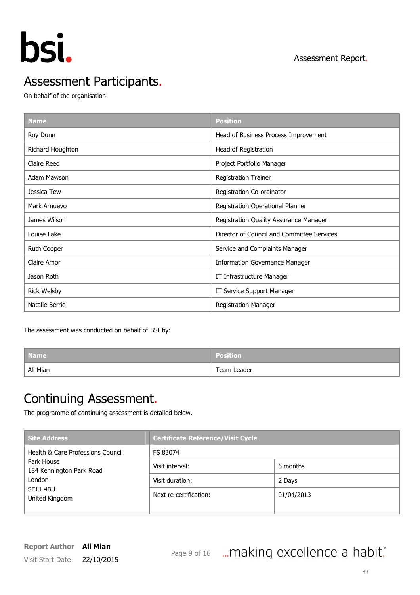

# Assessment Participants.

On behalf of the organisation:

| <b>Name</b>        | <b>Position</b>                            |
|--------------------|--------------------------------------------|
| Roy Dunn           | Head of Business Process Improvement       |
| Richard Houghton   | Head of Registration                       |
| Claire Reed        | Project Portfolio Manager                  |
| Adam Mawson        | <b>Registration Trainer</b>                |
| Jessica Tew        | Registration Co-ordinator                  |
| Mark Arnuevo       | Registration Operational Planner           |
| James Wilson       | Registration Quality Assurance Manager     |
| Louise Lake        | Director of Council and Committee Services |
| Ruth Cooper        | Service and Complaints Manager             |
| Claire Amor        | <b>Information Governance Manager</b>      |
| Jason Roth         | IT Infrastructure Manager                  |
| <b>Rick Welsby</b> | IT Service Support Manager                 |
| Natalie Berrie     | <b>Registration Manager</b>                |

The assessment was conducted on behalf of BSI by:

| <b>Name</b> | <b>Position</b> |
|-------------|-----------------|
| Ali Mian    | Team Leader     |

## Continuing Assessment.

The programme of continuing assessment is detailed below.

| Site Address                           | <b>Certificate Reference/Visit Cycle</b> |            |  |  |  |
|----------------------------------------|------------------------------------------|------------|--|--|--|
| Health & Care Professions Council      | FS 83074                                 |            |  |  |  |
| Park House<br>184 Kennington Park Road | Visit interval:                          | 6 months   |  |  |  |
| London<br>SE11 4BU<br>United Kingdom   | Visit duration:                          | 2 Days     |  |  |  |
|                                        | Next re-certification:                   | 01/04/2013 |  |  |  |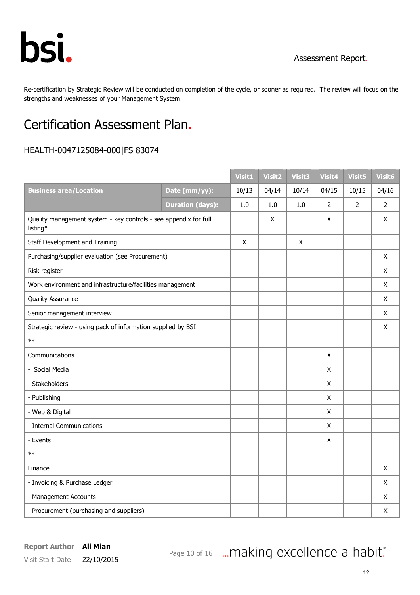

Re-certification by Strategic Review will be conducted on completion of the cycle, or sooner as required. The review will focus on the strengths and weaknesses of your Management System.

# Certification Assessment Plan.

## HEALTH-0047125084-000|FS 83074

|                                                                              |                         | <b>Visit1</b> | <b>Visit2</b> | <b>Visit3</b> | Visit4         | <b>Visit5</b> | Visit <sub>6</sub> |
|------------------------------------------------------------------------------|-------------------------|---------------|---------------|---------------|----------------|---------------|--------------------|
| <b>Business area/Location</b>                                                | Date (mm/yy):           | 10/13         | 04/14         | 10/14         | 04/15          | 10/15         | 04/16              |
|                                                                              | <b>Duration (days):</b> | 1.0           | 1.0           | 1.0           | $\overline{2}$ | 2             | $\overline{2}$     |
| Quality management system - key controls - see appendix for full<br>listing* |                         |               | X             |               | X              |               | X                  |
| Staff Development and Training                                               |                         | X             |               | X             |                |               |                    |
| Purchasing/supplier evaluation (see Procurement)                             |                         |               |               |               |                |               | X                  |
| Risk register                                                                |                         |               |               |               |                |               | X                  |
| Work environment and infrastructure/facilities management                    |                         |               |               |               |                |               | X                  |
| <b>Quality Assurance</b>                                                     |                         |               |               |               |                |               | $\pmb{\mathsf{X}}$ |
| Senior management interview                                                  |                         |               |               |               |                |               | $\pmb{\mathsf{X}}$ |
| Strategic review - using pack of information supplied by BSI                 |                         |               |               |               |                |               | X                  |
| $**$                                                                         |                         |               |               |               |                |               |                    |
| Communications                                                               |                         |               |               |               | $\mathsf{x}$   |               |                    |
| - Social Media                                                               |                         |               |               |               | X              |               |                    |
| - Stakeholders                                                               |                         |               |               |               | $\mathsf X$    |               |                    |
| - Publishing                                                                 |                         |               |               |               | X              |               |                    |
| - Web & Digital                                                              |                         |               |               |               | X              |               |                    |
| - Internal Communications                                                    |                         |               |               |               | X              |               |                    |
| - Events                                                                     |                         |               |               |               | X              |               |                    |
| $**$                                                                         |                         |               |               |               |                |               |                    |
| Finance                                                                      |                         |               |               |               |                |               | X                  |
| - Invoicing & Purchase Ledger                                                |                         |               |               |               |                |               | X                  |
| - Management Accounts                                                        |                         |               |               |               |                |               | X                  |
| - Procurement (purchasing and suppliers)                                     |                         |               |               |               |                |               | X                  |

Page 10 of 16 ... making excellence a habit."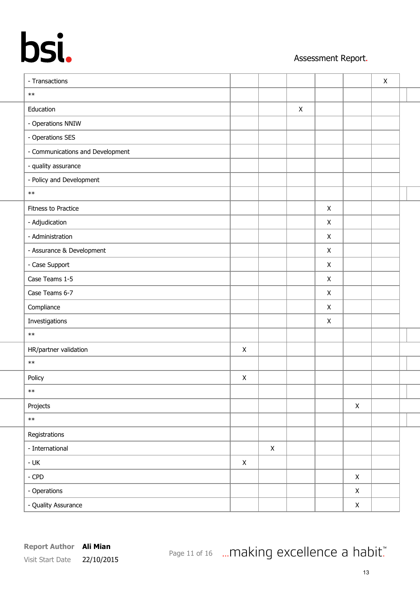## Assessment Report.

| - Transactions                   |                |             |                |   |              | $\pmb{\times}$ |  |
|----------------------------------|----------------|-------------|----------------|---|--------------|----------------|--|
| $\ast\ast$                       |                |             |                |   |              |                |  |
| Education                        |                |             | $\pmb{\times}$ |   |              |                |  |
| - Operations NNIW                |                |             |                |   |              |                |  |
| - Operations SES                 |                |             |                |   |              |                |  |
| - Communications and Development |                |             |                |   |              |                |  |
| - quality assurance              |                |             |                |   |              |                |  |
| - Policy and Development         |                |             |                |   |              |                |  |
| $\ast\ast$                       |                |             |                |   |              |                |  |
| Fitness to Practice              |                |             |                | X |              |                |  |
| - Adjudication                   |                |             |                | X |              |                |  |
| - Administration                 |                |             |                | X |              |                |  |
| - Assurance & Development        |                |             |                | X |              |                |  |
| - Case Support                   |                |             |                | X |              |                |  |
| Case Teams 1-5                   |                |             |                | X |              |                |  |
| Case Teams 6-7                   |                |             |                | X |              |                |  |
| Compliance                       |                |             |                | X |              |                |  |
| Investigations                   |                |             |                | X |              |                |  |
| $\ast\ast$                       |                |             |                |   |              |                |  |
| HR/partner validation            | $\pmb{\times}$ |             |                |   |              |                |  |
| $\ast\ast$                       |                |             |                |   |              |                |  |
| Policy                           | $\pmb{\times}$ |             |                |   |              |                |  |
| $\ast\ast$                       |                |             |                |   |              |                |  |
| Projects                         |                |             |                |   | $\mathsf X$  |                |  |
| $\ast\ast$                       |                |             |                |   |              |                |  |
| Registrations                    |                |             |                |   |              |                |  |
| - International                  |                | $\mathsf X$ |                |   |              |                |  |
| - UK                             | $\mathsf X$    |             |                |   |              |                |  |
| $-$ CPD                          |                |             |                |   | $\mathsf{X}$ |                |  |
| - Operations                     |                |             |                |   | $\mathsf X$  |                |  |
| - Quality Assurance              |                |             |                |   | $\mathsf X$  |                |  |
|                                  |                |             |                |   |              |                |  |

Page 11 of 16 ... making excellence a habit."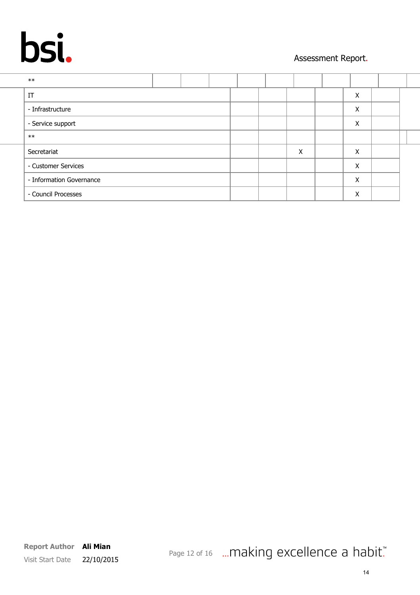## Assessment Report.

| $***$                    |  |  |   |   |  |
|--------------------------|--|--|---|---|--|
| IT                       |  |  |   | X |  |
| - Infrastructure         |  |  |   | Χ |  |
| - Service support        |  |  |   | Χ |  |
| $**$                     |  |  |   |   |  |
| Secretariat              |  |  | X | X |  |
| - Customer Services      |  |  |   | X |  |
| - Information Governance |  |  |   | X |  |
| - Council Processes      |  |  |   | X |  |
|                          |  |  |   |   |  |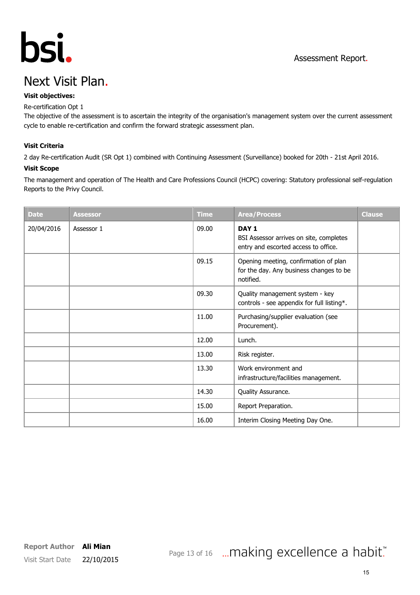

# Next Visit Plan.

### Visit objectives:

### Re-certification Opt 1

The objective of the assessment is to ascertain the integrity of the organisation's management system over the current assessment cycle to enable re-certification and confirm the forward strategic assessment plan.

### Visit Criteria

2 day Re-certification Audit (SR Opt 1) combined with Continuing Assessment (Surveillance) booked for 20th - 21st April 2016.

### Visit Scope

The management and operation of The Health and Care Professions Council (HCPC) covering: Statutory professional self-regulation Reports to the Privy Council.

| <b>Date</b> | <b>Assessor</b> | <b>Time</b> | <b>Area/Process</b>                                                                                 | <b>Clause</b> |
|-------------|-----------------|-------------|-----------------------------------------------------------------------------------------------------|---------------|
| 20/04/2016  | Assessor 1      | 09.00       | DAY <sub>1</sub><br>BSI Assessor arrives on site, completes<br>entry and escorted access to office. |               |
|             |                 | 09.15       | Opening meeting, confirmation of plan<br>for the day. Any business changes to be<br>notified.       |               |
|             |                 | 09.30       | Quality management system - key<br>controls - see appendix for full listing*.                       |               |
|             |                 | 11.00       | Purchasing/supplier evaluation (see<br>Procurement).                                                |               |
|             |                 | 12.00       | Lunch.                                                                                              |               |
|             |                 | 13.00       | Risk register.                                                                                      |               |
|             |                 | 13.30       | Work environment and<br>infrastructure/facilities management.                                       |               |
|             |                 | 14.30       | Quality Assurance.                                                                                  |               |
|             |                 | 15.00       | Report Preparation.                                                                                 |               |
|             |                 | 16.00       | Interim Closing Meeting Day One.                                                                    |               |

# Page 13 of 16 ... making excellence a habit."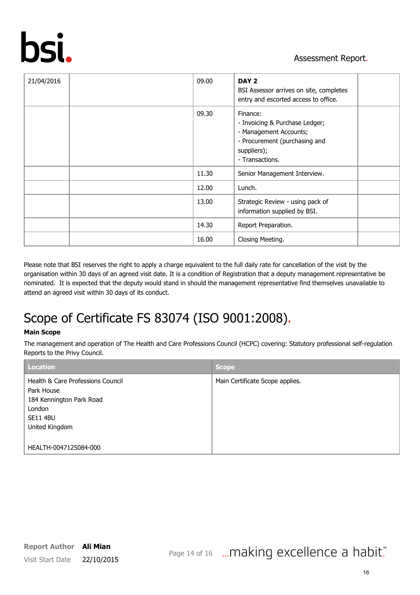

| 21/04/2016 | 09.00 | DAY 2<br>BSI Assessor arrives on site, completes<br>entry and escorted access to office.                                                |  |
|------------|-------|-----------------------------------------------------------------------------------------------------------------------------------------|--|
|            | 09.30 | Finance:<br>- Invoicing & Purchase Ledger;<br>- Management Accounts;<br>- Procurement (purchasing and<br>suppliers);<br>- Transactions. |  |
|            | 11.30 | Senior Management Interview.                                                                                                            |  |
|            | 12.00 | Lunch.                                                                                                                                  |  |
|            | 13.00 | Strategic Review - using pack of<br>information supplied by BSI.                                                                        |  |
|            | 14.30 | Report Preparation.                                                                                                                     |  |
|            | 16.00 | Closing Meeting.                                                                                                                        |  |

Please note that BSI reserves the right to apply a charge equivalent to the full daily rate for cancellation of the visit by the organisation within 30 days of an agreed visit date. It is a condition of Registration that a deputy management representative be nominated. It is expected that the deputy would stand in should the management representative find themselves unavailable to attend an agreed visit within 30 days of its conduct.

# Scope of Certificate FS 83074 (ISO 9001:2008).

### Main Scope

The management and operation of The Health and Care Professions Council (HCPC) covering: Statutory professional self-regulation Reports to the Privy Council.

| <b>Location</b>                        | <b>Scope</b>                    |
|----------------------------------------|---------------------------------|
| Health & Care Professions Council      | Main Certificate Scope applies. |
| Park House<br>184 Kennington Park Road |                                 |
| London                                 |                                 |
| <b>SE11 4BU</b>                        |                                 |
| United Kingdom                         |                                 |
| HEALTH-0047125084-000                  |                                 |

# Page 14 of 16 ... making excellence a habit."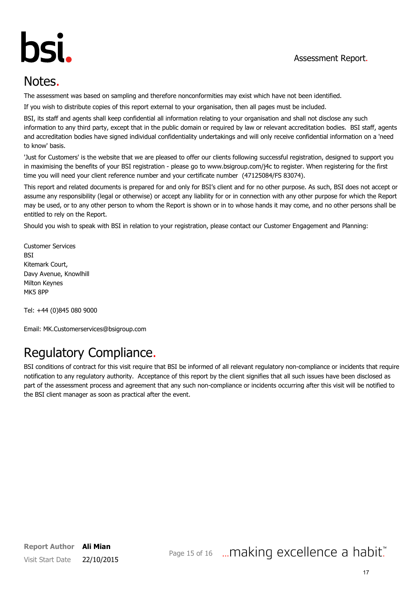

# Notes.

The assessment was based on sampling and therefore nonconformities may exist which have not been identified.

If you wish to distribute copies of this report external to your organisation, then all pages must be included.

BSI, its staff and agents shall keep confidential all information relating to your organisation and shall not disclose any such information to any third party, except that in the public domain or required by law or relevant accreditation bodies. BSI staff, agents and accreditation bodies have signed individual confidentiality undertakings and will only receive confidential information on a 'need to know' basis.

'Just for Customers' is the website that we are pleased to offer our clients following successful registration, designed to support you in maximising the benefits of your BSI registration - please go to www.bsigroup.com/j4c to register. When registering for the first time you will need your client reference number and your certificate number (47125084/FS 83074).

This report and related documents is prepared for and only for BSI's client and for no other purpose. As such, BSI does not accept or assume any responsibility (legal or otherwise) or accept any liability for or in connection with any other purpose for which the Report may be used, or to any other person to whom the Report is shown or in to whose hands it may come, and no other persons shall be entitled to rely on the Report.

Should you wish to speak with BSI in relation to your registration, please contact our Customer Engagement and Planning:

Customer Services **BSI** Kitemark Court, Davy Avenue, Knowlhill Milton Keynes MK5 8PP

Tel: +44 (0)845 080 9000

Email: MK.Customerservices@bsigroup.com

# Regulatory Compliance.

BSI conditions of contract for this visit require that BSI be informed of all relevant regulatory non-compliance or incidents that require notification to any regulatory authority. Acceptance of this report by the client signifies that all such issues have been disclosed as part of the assessment process and agreement that any such non-compliance or incidents occurring after this visit will be notified to the BSI client manager as soon as practical after the event.

## Page 15 of 16 ... making excellence a habit."